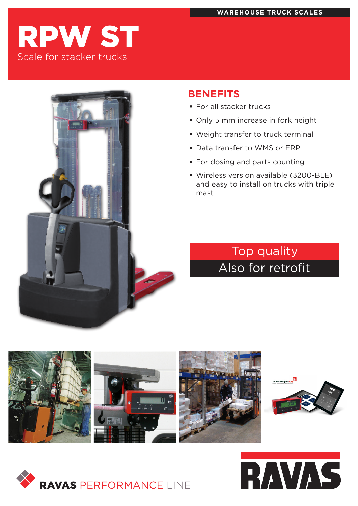# RPW ST Scale for stacker trucks

### **BENEFITS**

- **For all stacker trucks**
- Only 5 mm increase in fork height
- Weight transfer to truck terminal
- Data transfer to WMS or ERP
- **For dosing and parts counting**
- Wireless version available (3200-BLE) and easy to install on trucks with triple mast

## Top quality Also for retrofit